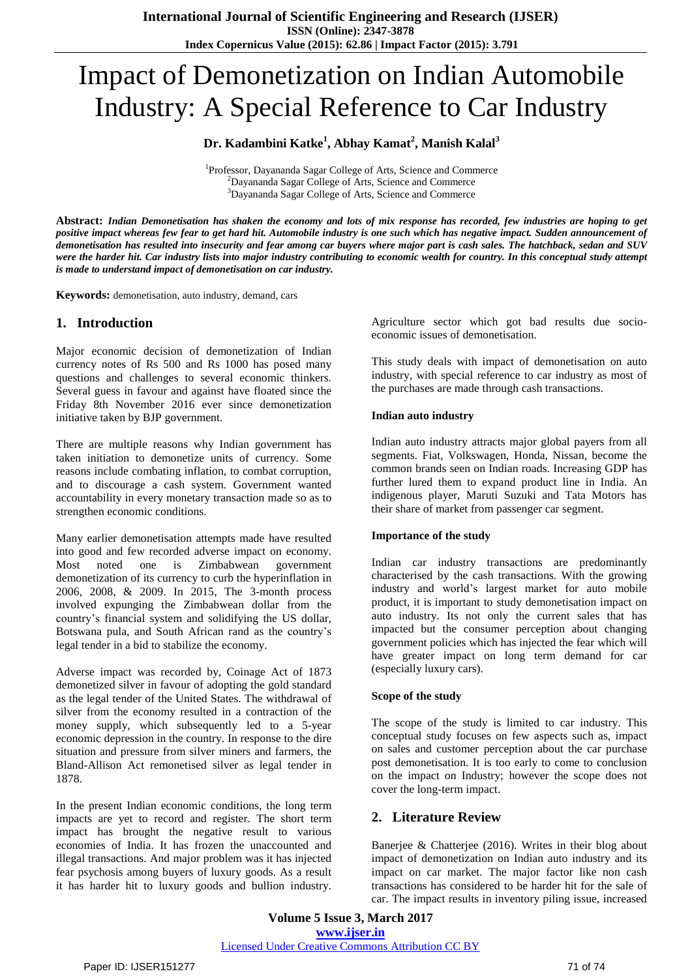# Impact of Demonetization on Indian Automobile Industry: A Special Reference to Car Industry

# **Dr. Kadambini Katke<sup>1</sup> , Abhay Kamat<sup>2</sup> , Manish Kalal<sup>3</sup>**

<sup>1</sup>Professor, Dayananda Sagar College of Arts, Science and Commerce <sup>2</sup>Dayananda Sagar College of Arts, Science and Commerce <sup>3</sup>Dayananda Sagar College of Arts, Science and Commerce

Abstract: Indian Demonetisation has shaken the economy and lots of mix response has recorded, few industries are hoping to get positive impact whereas few fear to get hard hit. Automobile industry is one such which has negative impact. Sudden announcement of demonetisation has resulted into insecurity and fear among car buyers where major part is cash sales. The hatchback, sedan and SUV were the harder hit. Car industry lists into major industry contributing to economic wealth for country. In this conceptual study attempt *is made to understand impact of demonetisation on car industry.*

**Keywords:** demonetisation, auto industry, demand, cars

## **1. Introduction**

Major economic decision of demonetization of Indian currency notes of Rs 500 and Rs 1000 has posed many questions and challenges to several economic thinkers. Several guess in favour and against have floated since the Friday 8th November 2016 ever since demonetization initiative taken by BJP government.

There are multiple reasons why Indian government has taken initiation to demonetize units of currency. Some reasons include combating inflation, to combat corruption, and to discourage a cash system. Government wanted accountability in every monetary transaction made so as to strengthen economic conditions.

Many earlier demonetisation attempts made have resulted into good and few recorded adverse impact on economy. Most noted one is Zimbabwean government demonetization of its currency to curb the hyperinflation in 2006, 2008, & 2009. In 2015, The 3-month process involved expunging the Zimbabwean dollar from the country"s financial system and solidifying the US dollar, Botswana pula, and South African rand as the country"s legal tender in a bid to stabilize the economy.

Adverse impact was recorded by, Coinage Act of 1873 demonetized silver in favour of adopting the gold standard as the legal tender of the United States. The withdrawal of silver from the economy resulted in a contraction of the money supply, which subsequently led to a 5-year economic depression in the country. In response to the dire situation and pressure from silver miners and farmers, the Bland-Allison Act remonetised silver as legal tender in 1878.

In the present Indian economic conditions, the long term impacts are yet to record and register. The short term impact has brought the negative result to various economies of India. It has frozen the unaccounted and illegal transactions. And major problem was it has injected fear psychosis among buyers of luxury goods. As a result it has harder hit to luxury goods and bullion industry.

Agriculture sector which got bad results due socioeconomic issues of demonetisation.

This study deals with impact of demonetisation on auto industry, with special reference to car industry as most of the purchases are made through cash transactions.

#### **Indian auto industry**

Indian auto industry attracts major global payers from all segments. Fiat, Volkswagen, Honda, Nissan, become the common brands seen on Indian roads. Increasing GDP has further lured them to expand product line in India. An indigenous player, Maruti Suzuki and Tata Motors has their share of market from passenger car segment.

#### **Importance of the study**

Indian car industry transactions are predominantly characterised by the cash transactions. With the growing industry and world"s largest market for auto mobile product, it is important to study demonetisation impact on auto industry. Its not only the current sales that has impacted but the consumer perception about changing government policies which has injected the fear which will have greater impact on long term demand for car (especially luxury cars).

#### **Scope of the study**

The scope of the study is limited to car industry. This conceptual study focuses on few aspects such as, impact on sales and customer perception about the car purchase post demonetisation. It is too early to come to conclusion on the impact on Industry; however the scope does not cover the long-term impact.

## **2. Literature Review**

Banerjee & Chatterjee (2016). Writes in their blog about impact of demonetization on Indian auto industry and its impact on car market. The major factor like non cash transactions has considered to be harder hit for the sale of car. The impact results in inventory piling issue, increased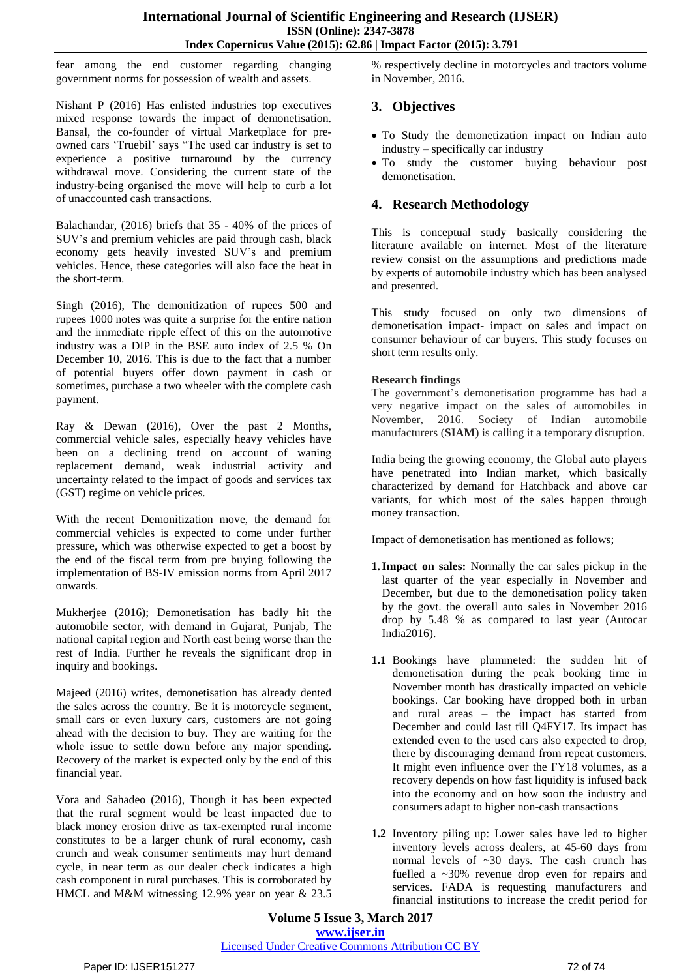fear among the end customer regarding changing government norms for possession of wealth and assets.

Nishant P (2016) Has enlisted industries top executives mixed response towards the impact of demonetisation. Bansal, the co-founder of virtual Marketplace for preowned cars "Truebil" says "The used car industry is set to experience a positive turnaround by the currency withdrawal move. Considering the current state of the industry-being organised the move will help to curb a lot of unaccounted cash transactions.

Balachandar, (2016) briefs that 35 - 40% of the prices of SUV"s and premium vehicles are paid through cash, black economy gets heavily invested SUV"s and premium vehicles. Hence, these categories will also face the heat in the short-term.

Singh (2016), The demonitization of rupees 500 and rupees 1000 notes was quite a surprise for the entire nation and the immediate ripple effect of this on the automotive industry was a DIP in the BSE auto index of 2.5 % On December 10, 2016. This is due to the fact that a number of potential buyers offer down payment in cash or sometimes, purchase a two wheeler with the complete cash payment.

Ray & Dewan (2016), Over the past 2 Months, commercial vehicle sales, especially heavy vehicles have been on a declining trend on account of waning replacement demand, weak industrial activity and uncertainty related to the impact of goods and services tax (GST) regime on vehicle prices.

With the recent Demonitization move, the demand for commercial vehicles is expected to come under further pressure, which was otherwise expected to get a boost by the end of the fiscal term from pre buying following the implementation of BS-IV emission norms from April 2017 onwards.

Mukherjee (2016); Demonetisation has badly hit the automobile sector, with demand in Gujarat, Punjab, The national capital region and North east being worse than the rest of India. Further he reveals the significant drop in inquiry and bookings.

Majeed (2016) writes, demonetisation has already dented the sales across the country. Be it is motorcycle segment, small cars or even luxury cars, customers are not going ahead with the decision to buy. They are waiting for the whole issue to settle down before any major spending. Recovery of the market is expected only by the end of this financial year.

Vora and Sahadeo (2016), Though it has been expected that the rural segment would be least impacted due to black money erosion drive as tax-exempted rural income constitutes to be a larger chunk of rural economy, cash crunch and weak consumer sentiments may hurt demand cycle, in near term as our dealer check indicates a high cash component in rural purchases. This is corroborated by HMCL and M&M witnessing 12.9% year on year & 23.5

% respectively decline in motorcycles and tractors volume in November, 2016.

# **3. Objectives**

- To Study the demonetization impact on Indian auto industry – specifically car industry
- To study the customer buying behaviour post demonetisation.

# **4. Research Methodology**

This is conceptual study basically considering the literature available on internet. Most of the literature review consist on the assumptions and predictions made by experts of automobile industry which has been analysed and presented.

This study focused on only two dimensions of demonetisation impact- impact on sales and impact on consumer behaviour of car buyers. This study focuses on short term results only.

#### **Research findings**

The government's demonetisation programme has had a very negative impact on the sales of automobiles in November, 2016. Society of Indian automobile manufacturers (**SIAM**) is calling it a temporary disruption.

India being the growing economy, the Global auto players have penetrated into Indian market, which basically characterized by demand for Hatchback and above car variants, for which most of the sales happen through money transaction.

Impact of demonetisation has mentioned as follows;

- **1.Impact on sales:** Normally the car sales pickup in the last quarter of the year especially in November and December, but due to the demonetisation policy taken by the govt. the overall auto sales in November 2016 drop by 5.48 % as compared to last year (Autocar India2016).
- **1.1** Bookings have plummeted: the sudden hit of demonetisation during the peak booking time in November month has drastically impacted on vehicle bookings. Car booking have dropped both in urban and rural areas – the impact has started from December and could last till Q4FY17. Its impact has extended even to the used cars also expected to drop, there by discouraging demand from repeat customers. It might even influence over the FY18 volumes, as a recovery depends on how fast liquidity is infused back into the economy and on how soon the industry and consumers adapt to higher non-cash transactions
- **1.2** Inventory piling up: Lower sales have led to higher inventory levels across dealers, at 45-60 days from normal levels of ~30 days. The cash crunch has fuelled a ~30% revenue drop even for repairs and services. FADA is requesting manufacturers and financial institutions to increase the credit period for

**Volume 5 Issue 3, March 2017 www.ijser.in** Licensed Under Creative Commons Attribution CC BY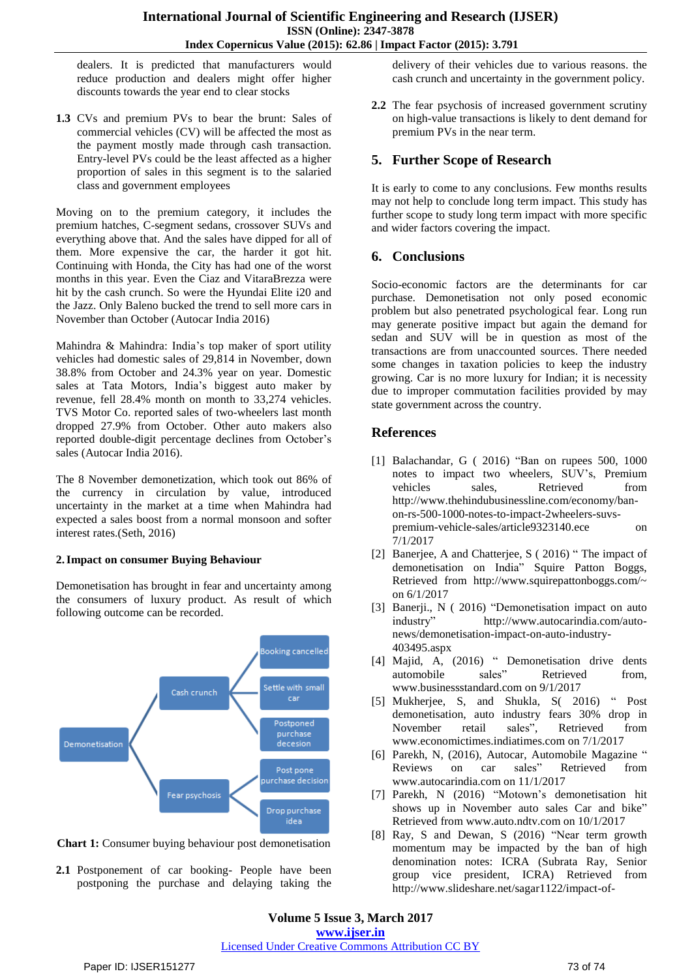dealers. It is predicted that manufacturers would reduce production and dealers might offer higher discounts towards the year end to clear stocks

**1.3** CVs and premium PVs to bear the brunt: Sales of commercial vehicles (CV) will be affected the most as the payment mostly made through cash transaction. Entry-level PVs could be the least affected as a higher proportion of sales in this segment is to the salaried class and government employees

Moving on to the premium category, it includes the premium hatches, C-segment sedans, crossover SUVs and everything above that. And the sales have dipped for all of them. More expensive the car, the harder it got hit. Continuing with Honda, the City has had one of the worst months in this year. Even the Ciaz and VitaraBrezza were hit by the cash crunch. So were the Hyundai Elite i20 and the Jazz. Only Baleno bucked the trend to sell more cars in November than October (Autocar India 2016)

Mahindra & Mahindra: India"s top maker of sport utility vehicles had domestic sales of 29,814 in November, down 38.8% from October and 24.3% year on year. Domestic sales at Tata Motors, India"s biggest auto maker by revenue, fell 28.4% month on month to 33,274 vehicles. TVS Motor Co. reported sales of two-wheelers last month dropped 27.9% from October. Other auto makers also reported double-digit percentage declines from October"s sales (Autocar India 2016).

The 8 November demonetization, which took out 86% of the currency in circulation by value, introduced uncertainty in the market at a time when Mahindra had expected a sales boost from a normal monsoon and softer interest rates.(Seth, 2016)

#### **2.Impact on consumer Buying Behaviour**

Demonetisation has brought in fear and uncertainty among the consumers of luxury product. As result of which following outcome can be recorded.



**Chart 1:** Consumer buying behaviour post demonetisation

2.1 Postponement of car booking- People have been postponing the purchase and delaying taking the

delivery of their vehicles due to various reasons. the cash crunch and uncertainty in the government policy.

**2.2** The fear psychosis of increased government scrutiny on high-value transactions is likely to dent demand for premium PVs in the near term.

#### **5. Further Scope of Research**

It is early to come to any conclusions. Few months results may not help to conclude long term impact. This study has further scope to study long term impact with more specific and wider factors covering the impact.

### **6. Conclusions**

Socio-economic factors are the determinants for car purchase. Demonetisation not only posed economic problem but also penetrated psychological fear. Long run may generate positive impact but again the demand for sedan and SUV will be in question as most of the transactions are from unaccounted sources. There needed some changes in taxation policies to keep the industry growing. Car is no more luxury for Indian; it is necessity due to improper commutation facilities provided by may state government across the country.

## **References**

- [1] Balachandar, G ( 2016) "Ban on rupees 500, 1000 notes to impact two wheelers, SUV"s, Premium vehicles sales, Retrieved from http://www.thehindubusinessline.com/economy/banon-rs-500-1000-notes-to-impact-2wheelers-suvspremium-vehicle-sales/article9323140.ece on 7/1/2017
- [2] Banerjee, A and Chatterjee, S ( 2016) " The impact of demonetisation on India" Squire Patton Boggs, Retrieved from http://www.squirepattonboggs.com/~ on 6/1/2017
- [3] Banerji., N ( 2016) "Demonetisation impact on auto industry" http://www.autocarindia.com/autonews/demonetisation-impact-on-auto-industry-403495.aspx
- [4] Majid, A, (2016) " Demonetisation drive dents automobile sales" Retrieved from, www.businessstandard.com on 9/1/2017
- [5] Mukherjee, S, and Shukla, S( 2016) " Post demonetisation, auto industry fears 30% drop in November retail sales", Retrieved from www.economictimes.indiatimes.com on 7/1/2017
- [6] Parekh, N, (2016), Autocar, Automobile Magazine " Reviews on car sales" Retrieved from www.autocarindia.com on 11/1/2017
- [7] Parekh, N (2016) "Motown's demonetisation hit shows up in November auto sales Car and bike" Retrieved from www.auto.ndtv.com on 10/1/2017
- [8] Ray, S and Dewan, S (2016) "Near term growth momentum may be impacted by the ban of high denomination notes: ICRA (Subrata Ray, Senior group vice president, ICRA) Retrieved from http://www.slideshare.net/sagar1122/impact-of-